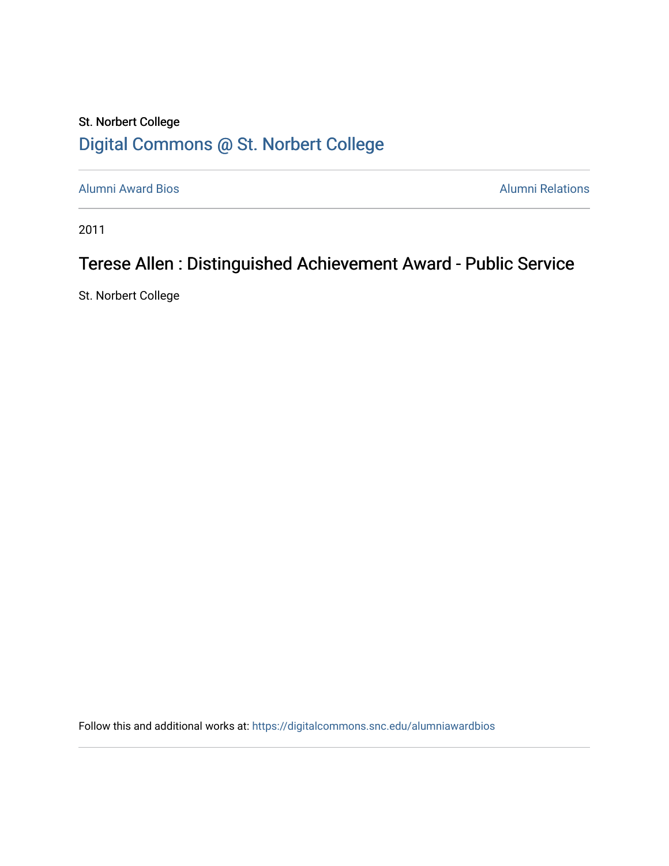## St. Norbert College [Digital Commons @ St. Norbert College](https://digitalcommons.snc.edu/)

[Alumni Award Bios](https://digitalcommons.snc.edu/alumniawardbios) **Alumni Relations** Alumni Relations

2011

# Terese Allen : Distinguished Achievement Award - Public Service

St. Norbert College

Follow this and additional works at: [https://digitalcommons.snc.edu/alumniawardbios](https://digitalcommons.snc.edu/alumniawardbios?utm_source=digitalcommons.snc.edu%2Falumniawardbios%2F59&utm_medium=PDF&utm_campaign=PDFCoverPages)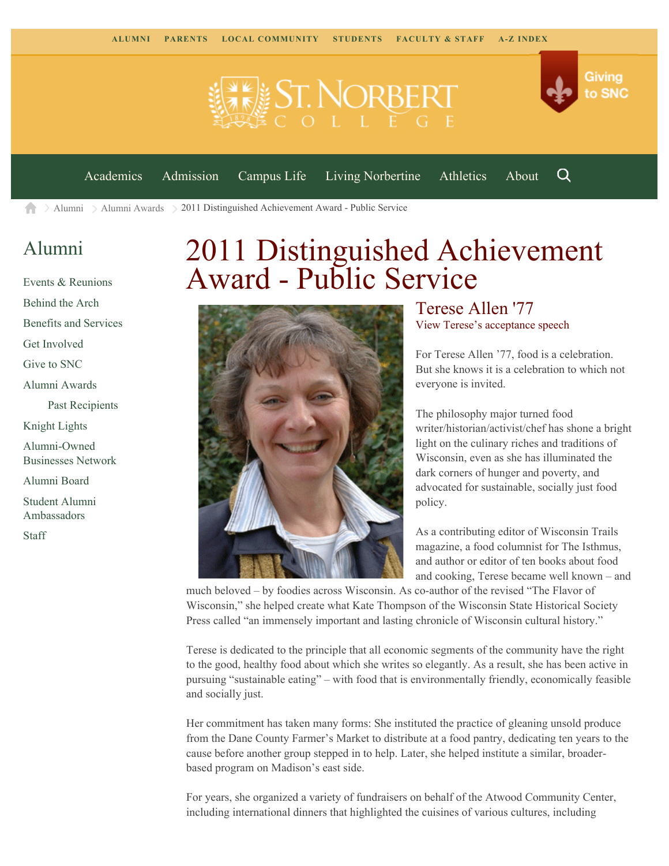**ELE ST. NORBERT** 



Q

[Academics](https://www.snc.edu/academics) [Admission](https://www.snc.edu/admission) [Campus Life](https://www.snc.edu/campuslife) [Living Norbertine](https://www.snc.edu/livingnorbertine) [Athletics](https://www.snc.edu/athletics) [About](https://www.snc.edu/about)

 $\geq$  [Alumni](https://www.snc.edu/alumni/)  $\geq$  [Alumni Awards](https://www.snc.edu/alumni/awards/)  $\geq$  2011 Distinguished Achievement Award - Public Service A

### [Alumni](https://www.snc.edu/alumni/index.html)

[Events & Reunions](https://www.snc.edu/alumni/event/index.html) [Behind the Arch](https://www.snc.edu/alumni/event/behindthearch/) [Benefits and Services](https://www.snc.edu/alumni/benefits.html) [Get Involved](https://www.snc.edu/alumni/getinvolved.html) [Give to SNC](http://giving.snc.edu/) [Alumni Awards](https://www.snc.edu/alumni/awards/index.html) [Past Recipients](https://www.snc.edu/alumni/awards/recipients.html) [Knight Lights](https://www.snc.edu/alumni/knightlights/index.html) [Alumni-Owned](https://www.snc.edu/alumni/directory/index.html) [Businesses Network](https://www.snc.edu/alumni/directory/index.html) [Alumni Board](https://www.snc.edu/alumni/alumniboard.html) [Student Alumni](https://www.snc.edu/alumni/saa.html) [Ambassadors](https://www.snc.edu/alumni/saa.html) [Staff](https://www.snc.edu/alumni/contactus.html)

# 2011 Distinguished Achievement Award - Public Service



#### Terese Allen '77 [View Terese's acceptance speech](http://www.youtube.com/watch?v=sYzWVUgMMfM)

For Terese Allen '77, food is a celebration. But she knows it is a celebration to which not everyone is invited.

The philosophy major turned food writer/historian/activist/chef has shone a bright light on the culinary riches and traditions of Wisconsin, even as she has illuminated the dark corners of hunger and poverty, and advocated for sustainable, socially just food policy.

As a contributing editor of Wisconsin Trails magazine, a food columnist for The Isthmus, and author or editor of ten books about food and cooking, Terese became well known – and

much beloved – by foodies across Wisconsin. As co-author of the revised "The Flavor of Wisconsin," she helped create what Kate Thompson of the Wisconsin State Historical Society Press called "an immensely important and lasting chronicle of Wisconsin cultural history."

Terese is dedicated to the principle that all economic segments of the community have the right to the good, healthy food about which she writes so elegantly. As a result, she has been active in pursuing "sustainable eating" – with food that is environmentally friendly, economically feasible and socially just.

Her commitment has taken many forms: She instituted the practice of gleaning unsold produce from the Dane County Farmer's Market to distribute at a food pantry, dedicating ten years to the cause before another group stepped in to help. Later, she helped institute a similar, broaderbased program on Madison's east side.

For years, she organized a variety of fundraisers on behalf of the Atwood Community Center, including international dinners that highlighted the cuisines of various cultures, including